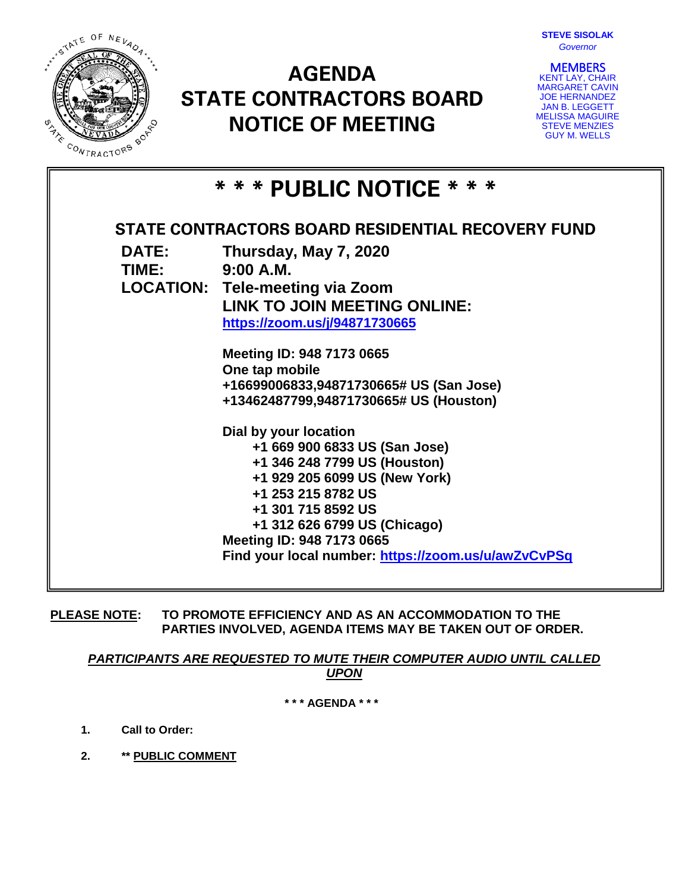

# **AGENDA STATE CONTRACTORS BOARD NOTICE OF MEETING**



**MEMBERS**<br>KENT LAY, CHAIR MARGARET CAVIN JOE HERNANDEZ JAN B. LEGGETT MELISSA MAGUIRE STEVE MENZIES GUY M. WELLS

| * * * PUBLIC NOTICE * * *                         |                                                                                                                                                                                                                                                                                         |
|---------------------------------------------------|-----------------------------------------------------------------------------------------------------------------------------------------------------------------------------------------------------------------------------------------------------------------------------------------|
| STATE CONTRACTORS BOARD RESIDENTIAL RECOVERY FUND |                                                                                                                                                                                                                                                                                         |
| DATE:<br>TIME: 9:00 A.M.                          | Thursday, May 7, 2020<br><b>LOCATION: Tele-meeting via Zoom</b>                                                                                                                                                                                                                         |
|                                                   | LINK TO JOIN MEETING ONLINE:<br>https://zoom.us/j/94871730665                                                                                                                                                                                                                           |
|                                                   | Meeting ID: 948 7173 0665<br>One tap mobile<br>+16699006833,94871730665# US (San Jose)<br>+13462487799,94871730665# US (Houston)                                                                                                                                                        |
|                                                   | Dial by your location<br>+1 669 900 6833 US (San Jose)<br>+1 346 248 7799 US (Houston)<br>+1 929 205 6099 US (New York)<br>+1 253 215 8782 US<br>+1 301 715 8592 US<br>+1 312 626 6799 US (Chicago)<br>Meeting ID: 948 7173 0665<br>Find your local number: https://zoom.us/u/awZvCvPSq |

**PLEASE NOTE: TO PROMOTE EFFICIENCY AND AS AN ACCOMMODATION TO THE PARTIES INVOLVED, AGENDA ITEMS MAY BE TAKEN OUT OF ORDER.**

*PARTICIPANTS ARE REQUESTED TO MUTE THEIR COMPUTER AUDIO UNTIL CALLED UPON*

**\* \* \* AGENDA \* \* \***

- **1. Call to Order:**
- **2. \*\* PUBLIC COMMENT**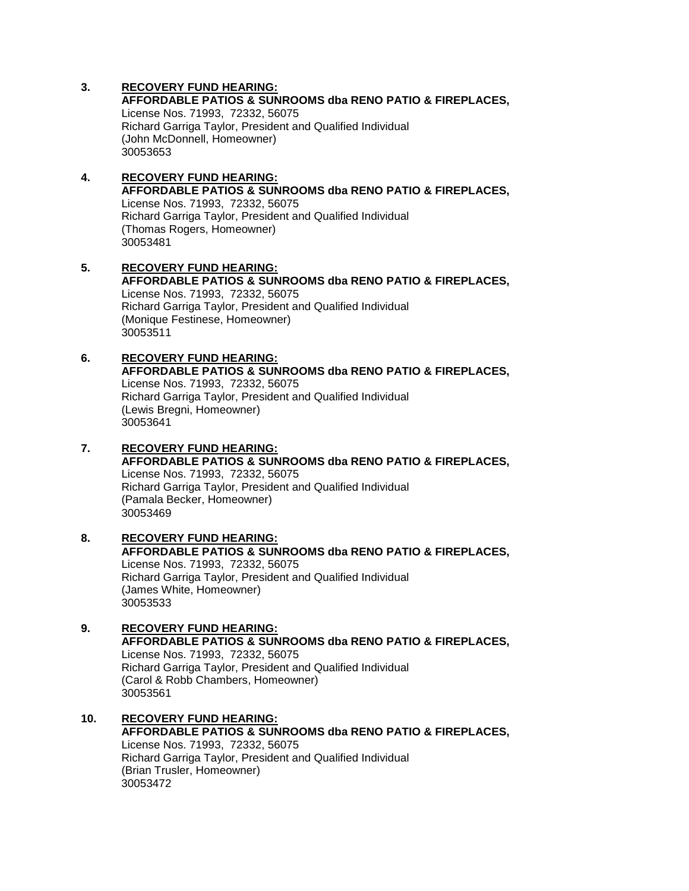**AFFORDABLE PATIOS & SUNROOMS dba RENO PATIO & FIREPLACES,**  License Nos. 71993, 72332, 56075 Richard Garriga Taylor, President and Qualified Individual (John McDonnell, Homeowner) 30053653

#### **4. RECOVERY FUND HEARING: AFFORDABLE PATIOS & SUNROOMS dba RENO PATIO & FIREPLACES,**  License Nos. 71993, 72332, 56075 Richard Garriga Taylor, President and Qualified Individual (Thomas Rogers, Homeowner) 30053481

**5. RECOVERY FUND HEARING: AFFORDABLE PATIOS & SUNROOMS dba RENO PATIO & FIREPLACES,**  License Nos. 71993, 72332, 56075 Richard Garriga Taylor, President and Qualified Individual (Monique Festinese, Homeowner) 30053511

# **6. RECOVERY FUND HEARING:**

**AFFORDABLE PATIOS & SUNROOMS dba RENO PATIO & FIREPLACES,**  License Nos. 71993, 72332, 56075 Richard Garriga Taylor, President and Qualified Individual (Lewis Bregni, Homeowner) 30053641

# **7. RECOVERY FUND HEARING:**

**AFFORDABLE PATIOS & SUNROOMS dba RENO PATIO & FIREPLACES,**  License Nos. 71993, 72332, 56075 Richard Garriga Taylor, President and Qualified Individual (Pamala Becker, Homeowner) 30053469

#### **8. RECOVERY FUND HEARING: AFFORDABLE PATIOS & SUNROOMS dba RENO PATIO & FIREPLACES,**  License Nos. 71993, 72332, 56075 Richard Garriga Taylor, President and Qualified Individual (James White, Homeowner) 30053533

- **9. RECOVERY FUND HEARING: AFFORDABLE PATIOS & SUNROOMS dba RENO PATIO & FIREPLACES,**  License Nos. 71993, 72332, 56075 Richard Garriga Taylor, President and Qualified Individual (Carol & Robb Chambers, Homeowner) 30053561
- **10. RECOVERY FUND HEARING: AFFORDABLE PATIOS & SUNROOMS dba RENO PATIO & FIREPLACES,**  License Nos. 71993, 72332, 56075 Richard Garriga Taylor, President and Qualified Individual (Brian Trusler, Homeowner) 30053472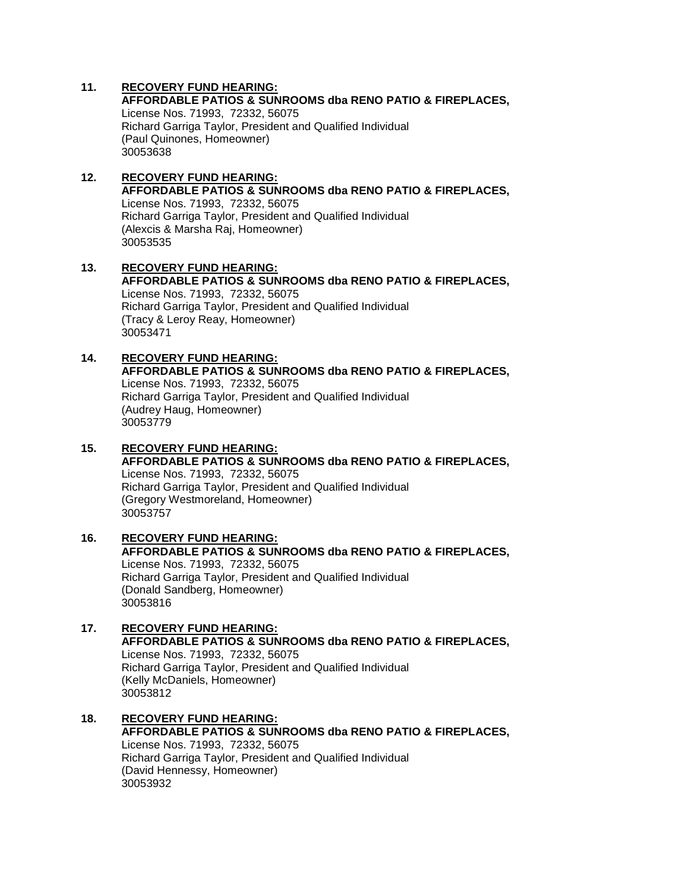**AFFORDABLE PATIOS & SUNROOMS dba RENO PATIO & FIREPLACES,**  License Nos. 71993, 72332, 56075 Richard Garriga Taylor, President and Qualified Individual (Paul Quinones, Homeowner) 30053638

#### **12. RECOVERY FUND HEARING: AFFORDABLE PATIOS & SUNROOMS dba RENO PATIO & FIREPLACES,**  License Nos. 71993, 72332, 56075 Richard Garriga Taylor, President and Qualified Individual (Alexcis & Marsha Raj, Homeowner) 30053535

**13. RECOVERY FUND HEARING: AFFORDABLE PATIOS & SUNROOMS dba RENO PATIO & FIREPLACES,**  License Nos. 71993, 72332, 56075 Richard Garriga Taylor, President and Qualified Individual (Tracy & Leroy Reay, Homeowner) 30053471

#### **14. RECOVERY FUND HEARING: AFFORDABLE PATIOS & SUNROOMS dba RENO PATIO & FIREPLACES,**

License Nos. 71993, 72332, 56075 Richard Garriga Taylor, President and Qualified Individual (Audrey Haug, Homeowner) 30053779

# **15. RECOVERY FUND HEARING:**

**AFFORDABLE PATIOS & SUNROOMS dba RENO PATIO & FIREPLACES,**  License Nos. 71993, 72332, 56075 Richard Garriga Taylor, President and Qualified Individual (Gregory Westmoreland, Homeowner) 30053757

#### **16. RECOVERY FUND HEARING: AFFORDABLE PATIOS & SUNROOMS dba RENO PATIO & FIREPLACES,**  License Nos. 71993, 72332, 56075 Richard Garriga Taylor, President and Qualified Individual (Donald Sandberg, Homeowner) 30053816

- **17. RECOVERY FUND HEARING: AFFORDABLE PATIOS & SUNROOMS dba RENO PATIO & FIREPLACES,**  License Nos. 71993, 72332, 56075 Richard Garriga Taylor, President and Qualified Individual (Kelly McDaniels, Homeowner) 30053812
- **18. RECOVERY FUND HEARING: AFFORDABLE PATIOS & SUNROOMS dba RENO PATIO & FIREPLACES,**  License Nos. 71993, 72332, 56075 Richard Garriga Taylor, President and Qualified Individual (David Hennessy, Homeowner) 30053932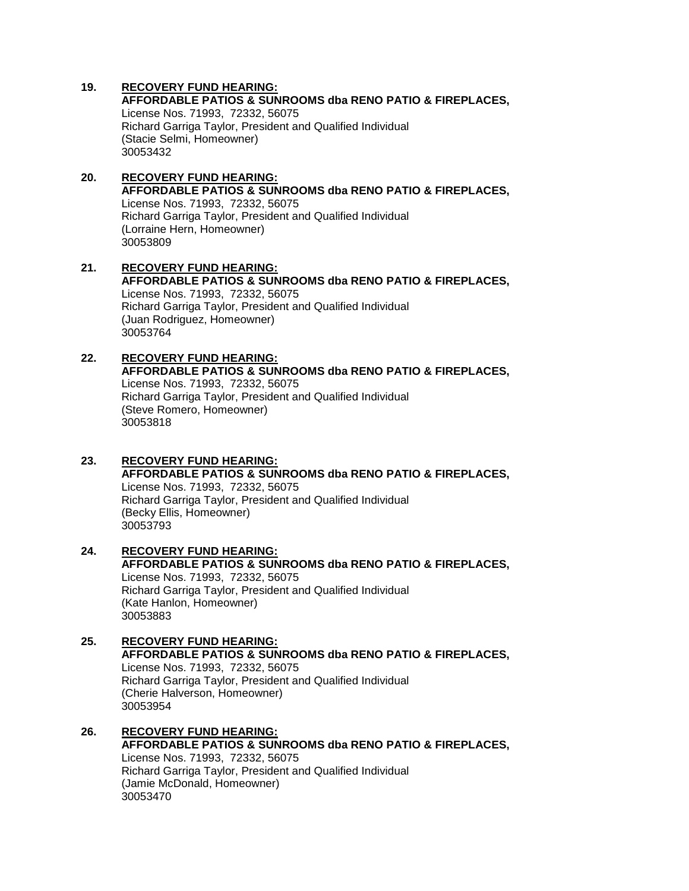**AFFORDABLE PATIOS & SUNROOMS dba RENO PATIO & FIREPLACES,**  License Nos. 71993, 72332, 56075 Richard Garriga Taylor, President and Qualified Individual (Stacie Selmi, Homeowner) 30053432

#### **20. RECOVERY FUND HEARING: AFFORDABLE PATIOS & SUNROOMS dba RENO PATIO & FIREPLACES,**  License Nos. 71993, 72332, 56075 Richard Garriga Taylor, President and Qualified Individual (Lorraine Hern, Homeowner) 30053809

**21. RECOVERY FUND HEARING: AFFORDABLE PATIOS & SUNROOMS dba RENO PATIO & FIREPLACES,**  License Nos. 71993, 72332, 56075 Richard Garriga Taylor, President and Qualified Individual (Juan Rodriguez, Homeowner) 30053764

#### **22. RECOVERY FUND HEARING: AFFORDABLE PATIOS & SUNROOMS dba RENO PATIO & FIREPLACES,**  License Nos. 71993, 72332, 56075 Richard Garriga Taylor, President and Qualified Individual (Steve Romero, Homeowner) 30053818

- **23. RECOVERY FUND HEARING: AFFORDABLE PATIOS & SUNROOMS dba RENO PATIO & FIREPLACES,**  License Nos. 71993, 72332, 56075 Richard Garriga Taylor, President and Qualified Individual (Becky Ellis, Homeowner) 30053793
- **24. RECOVERY FUND HEARING: AFFORDABLE PATIOS & SUNROOMS dba RENO PATIO & FIREPLACES,**  License Nos. 71993, 72332, 56075 Richard Garriga Taylor, President and Qualified Individual (Kate Hanlon, Homeowner) 30053883
- **25. RECOVERY FUND HEARING: AFFORDABLE PATIOS & SUNROOMS dba RENO PATIO & FIREPLACES,**  License Nos. 71993, 72332, 56075 Richard Garriga Taylor, President and Qualified Individual (Cherie Halverson, Homeowner) 30053954
- **26. RECOVERY FUND HEARING: AFFORDABLE PATIOS & SUNROOMS dba RENO PATIO & FIREPLACES,**  License Nos. 71993, 72332, 56075 Richard Garriga Taylor, President and Qualified Individual (Jamie McDonald, Homeowner) 30053470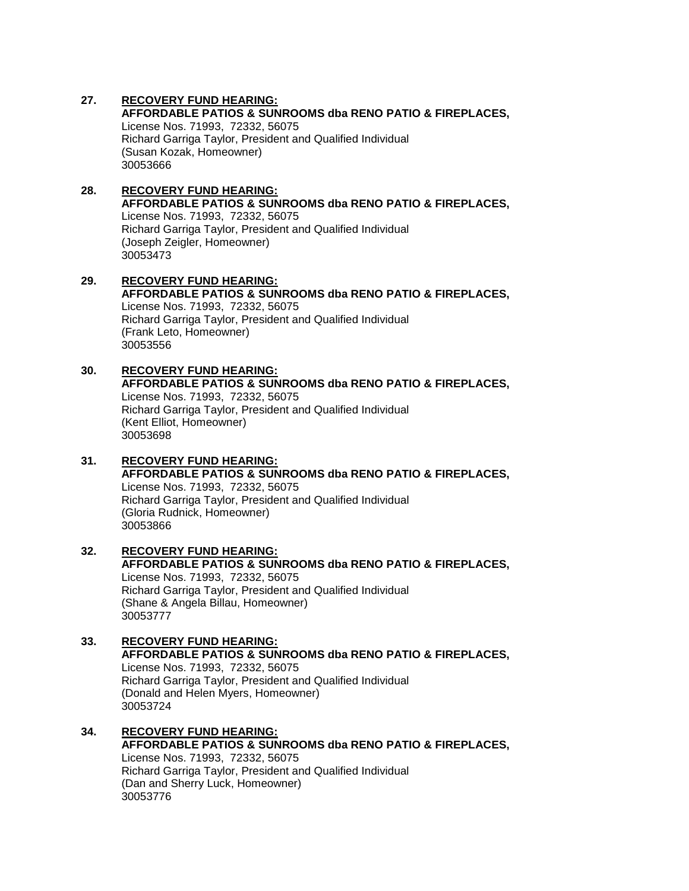**AFFORDABLE PATIOS & SUNROOMS dba RENO PATIO & FIREPLACES,**  License Nos. 71993, 72332, 56075 Richard Garriga Taylor, President and Qualified Individual (Susan Kozak, Homeowner) 30053666

#### **28. RECOVERY FUND HEARING: AFFORDABLE PATIOS & SUNROOMS dba RENO PATIO & FIREPLACES,**  License Nos. 71993, 72332, 56075 Richard Garriga Taylor, President and Qualified Individual

(Joseph Zeigler, Homeowner) 30053473

#### **29. RECOVERY FUND HEARING: AFFORDABLE PATIOS & SUNROOMS dba RENO PATIO & FIREPLACES,**  License Nos. 71993, 72332, 56075 Richard Garriga Taylor, President and Qualified Individual (Frank Leto, Homeowner) 30053556

#### **30. RECOVERY FUND HEARING: AFFORDABLE PATIOS & SUNROOMS dba RENO PATIO & FIREPLACES,**  License Nos. 71993, 72332, 56075 Richard Garriga Taylor, President and Qualified Individual (Kent Elliot, Homeowner) 30053698

## **31. RECOVERY FUND HEARING: AFFORDABLE PATIOS & SUNROOMS dba RENO PATIO & FIREPLACES,**  License Nos. 71993, 72332, 56075 Richard Garriga Taylor, President and Qualified Individual (Gloria Rudnick, Homeowner) 30053866

#### **32. RECOVERY FUND HEARING: AFFORDABLE PATIOS & SUNROOMS dba RENO PATIO & FIREPLACES,**  License Nos. 71993, 72332, 56075 Richard Garriga Taylor, President and Qualified Individual (Shane & Angela Billau, Homeowner) 30053777

## **33. RECOVERY FUND HEARING: AFFORDABLE PATIOS & SUNROOMS dba RENO PATIO & FIREPLACES,**  License Nos. 71993, 72332, 56075 Richard Garriga Taylor, President and Qualified Individual (Donald and Helen Myers, Homeowner) 30053724

#### **34. RECOVERY FUND HEARING: AFFORDABLE PATIOS & SUNROOMS dba RENO PATIO & FIREPLACES,**  License Nos. 71993, 72332, 56075 Richard Garriga Taylor, President and Qualified Individual (Dan and Sherry Luck, Homeowner) 30053776